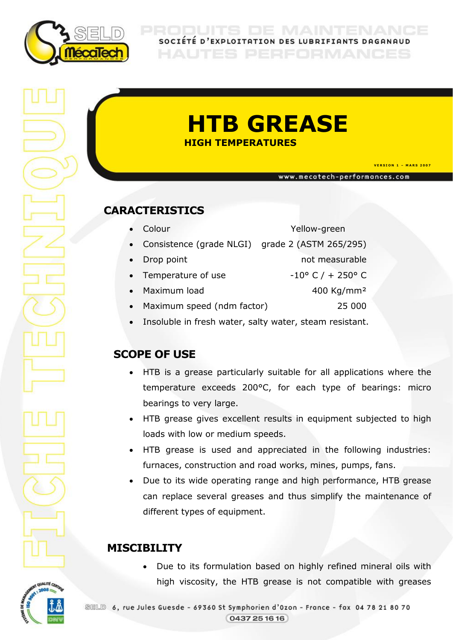

SOCIÉTÉ D'EXPLOITATION DES LUBRIFIANTS DAGANAUD

# **HTB GREASE** **HIGH TEMPERATURES**

**V E R S I O N 1 – M A R S 2 0 0 7** 

www.mecatech-performances.com

### **CARACTERISTICS**

- Colour Yellow-green Consistence (grade NLGI) grade 2 (ASTM 265/295) • Drop point not measurable Temperature of use  $-10^{\circ}$  C / + 250° C • Maximum load 400 Kg/mm<sup>2</sup> Maximum speed (ndm factor) 25 000
	- Insoluble in fresh water, salty water, steam resistant.

### **SCOPE OF USE**

- HTB is a grease particularly suitable for all applications where the temperature exceeds 200°C, for each type of bearings: micro bearings to very large.
- HTB grease gives excellent results in equipment subjected to high loads with low or medium speeds.
- HTB grease is used and appreciated in the following industries: furnaces, construction and road works, mines, pumps, fans.
- Due to its wide operating range and high performance, HTB grease can replace several greases and thus simplify the maintenance of different types of equipment.

## **MISCIBILITY**

JALITÉ CE

 Due to its formulation based on highly refined mineral oils with high viscosity, the HTB grease is not compatible with greases